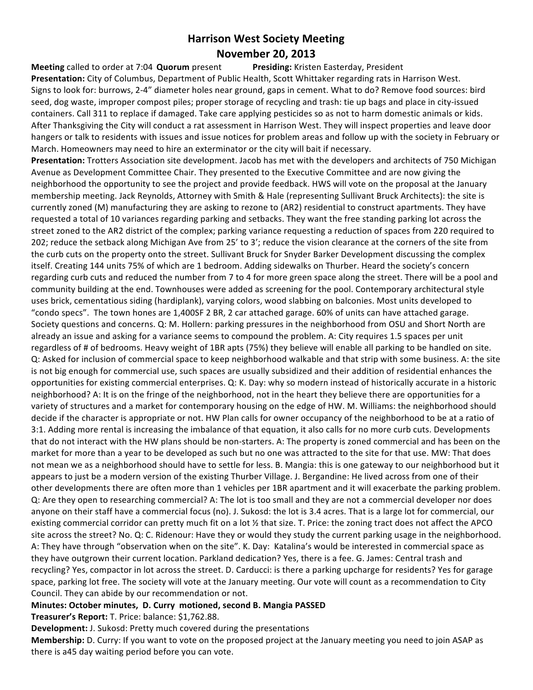## **Harrison West Society Meeting November 20, 2013**

**Meeting** called to order at 7:04 **Quorum** present **Presiding:** Kristen Easterday, President **Presentation:** City of Columbus, Department of Public Health, Scott Whittaker regarding rats in Harrison West. Signs to look for: burrows, 2-4" diameter holes near ground, gaps in cement. What to do? Remove food sources: bird seed, dog waste, improper compost piles; proper storage of recycling and trash: tie up bags and place in city-issued containers. Call 311 to replace if damaged. Take care applying pesticides so as not to harm domestic animals or kids. After Thanksgiving the City will conduct a rat assessment in Harrison West. They will inspect properties and leave door hangers or talk to residents with issues and issue notices for problem areas and follow up with the society in February or March. Homeowners may need to hire an exterminator or the city will bait if necessary.

**Presentation:** Trotters Association site development. Jacob has met with the developers and architects of 750 Michigan Avenue as Development Committee Chair. They presented to the Executive Committee and are now giving the neighborhood the opportunity to see the project and provide feedback. HWS will vote on the proposal at the January membership meeting. Jack Reynolds, Attorney with Smith & Hale (representing Sullivant Bruck Architects): the site is currently zoned (M) manufacturing they are asking to rezone to (AR2) residential to construct apartments. They have requested a total of 10 variances regarding parking and setbacks. They want the free standing parking lot across the street zoned to the AR2 district of the complex; parking variance requesting a reduction of spaces from 220 required to 202; reduce the setback along Michigan Ave from 25' to 3'; reduce the vision clearance at the corners of the site from the curb cuts on the property onto the street. Sullivant Bruck for Snyder Barker Development discussing the complex itself. Creating 144 units 75% of which are 1 bedroom. Adding sidewalks on Thurber. Heard the society's concern regarding curb cuts and reduced the number from 7 to 4 for more green space along the street. There will be a pool and community building at the end. Townhouses were added as screening for the pool. Contemporary architectural style uses brick, cementatious siding (hardiplank), varying colors, wood slabbing on balconies. Most units developed to "condo specs". The town hones are 1,400SF 2 BR, 2 car attached garage. 60% of units can have attached garage. Society questions and concerns. Q: M. Hollern: parking pressures in the neighborhood from OSU and Short North are already an issue and asking for a variance seems to compound the problem. A: City requires 1.5 spaces per unit regardless of # of bedrooms. Heavy weight of 1BR apts (75%) they believe will enable all parking to be handled on site. Q: Asked for inclusion of commercial space to keep neighborhood walkable and that strip with some business. A: the site is not big enough for commercial use, such spaces are usually subsidized and their addition of residential enhances the opportunities for existing commercial enterprises. Q: K. Day: why so modern instead of historically accurate in a historic neighborhood? A: It is on the fringe of the neighborhood, not in the heart they believe there are opportunities for a variety of structures and a market for contemporary housing on the edge of HW. M. Williams: the neighborhood should decide if the character is appropriate or not. HW Plan calls for owner occupancy of the neighborhood to be at a ratio of 3:1. Adding more rental is increasing the imbalance of that equation, it also calls for no more curb cuts. Developments that do not interact with the HW plans should be non-starters. A: The property is zoned commercial and has been on the market for more than a year to be developed as such but no one was attracted to the site for that use. MW: That does not mean we as a neighborhood should have to settle for less. B. Mangia: this is one gateway to our neighborhood but it appears to just be a modern version of the existing Thurber Village. J. Bergandine: He lived across from one of their other developments there are often more than 1 vehicles per 1BR apartment and it will exacerbate the parking problem. Q: Are they open to researching commercial? A: The lot is too small and they are not a commercial developer nor does anyone on their staff have a commercial focus (no). J. Sukosd: the lot is 3.4 acres. That is a large lot for commercial, our existing commercial corridor can pretty much fit on a lot  $\frac{1}{2}$  that size. T. Price: the zoning tract does not affect the APCO site across the street? No. Q: C. Ridenour: Have they or would they study the current parking usage in the neighborhood. A: They have through "observation when on the site". K. Day: Katalina's would be interested in commercial space as they have outgrown their current location. Parkland dedication? Yes, there is a fee. G. James: Central trash and recycling? Yes, compactor in lot across the street. D. Carducci: is there a parking upcharge for residents? Yes for garage space, parking lot free. The society will vote at the January meeting. Our vote will count as a recommendation to City Council. They can abide by our recommendation or not.

**Minutes: October minutes, D. Curry motioned, second B. Mangia PASSED** Treasurer's Report: T. Price: balance: \$1,762.88.

**Development:** J. Sukosd: Pretty much covered during the presentations

**Membership:** D. Curry: If you want to vote on the proposed project at the January meeting you need to join ASAP as there is a45 day waiting period before you can vote.